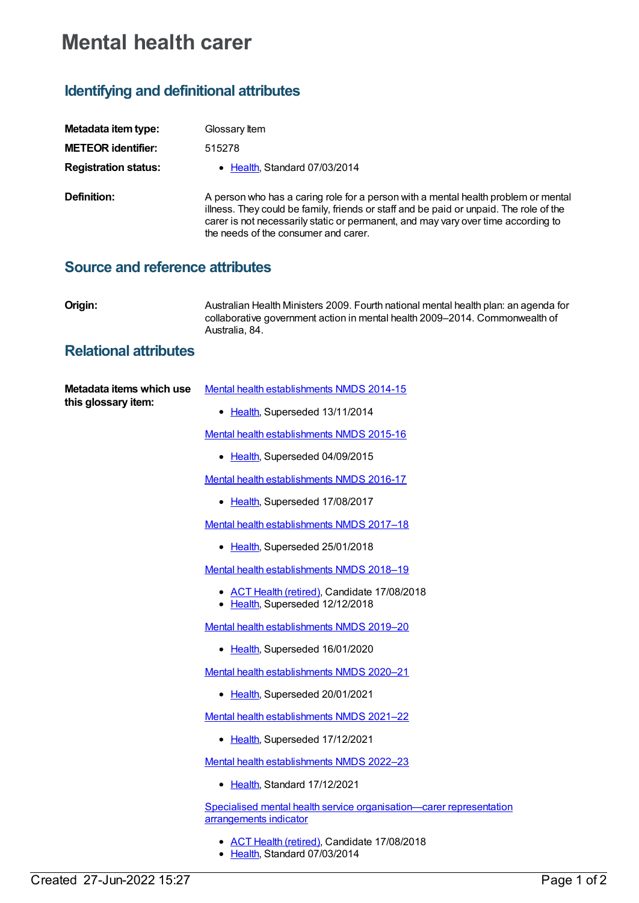## **Mental health carer**

## **Identifying and definitional attributes**

| Metadata item type:         | Glossary Item                                                                                                                                                                                                                                                                                             |
|-----------------------------|-----------------------------------------------------------------------------------------------------------------------------------------------------------------------------------------------------------------------------------------------------------------------------------------------------------|
| <b>METEOR identifier:</b>   | 515278                                                                                                                                                                                                                                                                                                    |
| <b>Registration status:</b> | • Health Standard 07/03/2014                                                                                                                                                                                                                                                                              |
| Definition:                 | A person who has a caring role for a person with a mental health problem or mental<br>illness. They could be family, friends or staff and be paid or unpaid. The role of the<br>carer is not necessarily static or permanent, and may vary over time according to<br>the needs of the consumer and carer. |

## **Source and reference attributes**

**Origin:** Australian Health Ministers 2009. Fourth national mental health plan: an agenda for collaborative government action in mental health 2009–2014. Commonwealth of Australia, 84.

## **Relational attributes**

| Metadata items which use<br>this glossary item: | Mental health establishments NMDS 2014-15                                                     |
|-------------------------------------------------|-----------------------------------------------------------------------------------------------|
|                                                 | • Health, Superseded 13/11/2014                                                               |
|                                                 | Mental health establishments NMDS 2015-16                                                     |
|                                                 | • Health, Superseded 04/09/2015                                                               |
|                                                 | Mental health establishments NMDS 2016-17                                                     |
|                                                 | • Health, Superseded 17/08/2017                                                               |
|                                                 | Mental health establishments NMDS 2017-18                                                     |
|                                                 | • Health, Superseded 25/01/2018                                                               |
|                                                 | Mental health establishments NMDS 2018-19                                                     |
|                                                 | • <b>ACT Health (retired)</b> , Candidate 17/08/2018<br>• Health, Superseded 12/12/2018       |
|                                                 | Mental health establishments NMDS 2019-20                                                     |
|                                                 | • Health, Superseded 16/01/2020                                                               |
|                                                 | Mental health establishments NMDS 2020-21                                                     |
|                                                 | • Health, Superseded 20/01/2021                                                               |
|                                                 | Mental health establishments NMDS 2021-22                                                     |
|                                                 | • Health, Superseded 17/12/2021                                                               |
|                                                 | Mental health establishments NMDS 2022-23                                                     |
|                                                 | • Health, Standard 17/12/2021                                                                 |
|                                                 | Specialised mental health service organisation—carer representation<br>arrangements indicator |
|                                                 | • ACT Health (retired), Candidate 17/08/2018                                                  |

• [Health](https://meteor.aihw.gov.au/RegistrationAuthority/12), Standard 07/03/2014